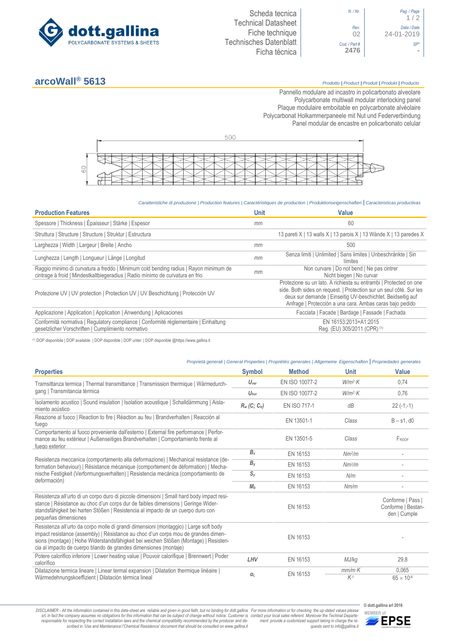

*N. / Nr*. *Pag. / Page* 1 / 2 *Rev*. *Data / Date* 02 24-01-2019 *Cod. / Part # SP\** **2476 -**

## **arcoWall® 5613** *Prodotto <sup>|</sup> Product <sup>|</sup> Produit <sup>|</sup> Produkt <sup>|</sup> Producto*

Pannello modulare ad incastro in policarbonato alveolare Polycarbonate multiwall modular interlocking panel Plaque modulaire emboitable en polycarbonate alvéolaire Polycarbonat Holkammerpaneele mit Nut und Federverbindung [Panel modular de encastre en policarbonato c](http://www.google.it/url?sa=t&rct=j&q=&esrc=s&source=web&cd=6&ved=0ahUKEwiPyOW6w_3PAhXLORoKHXbkAhUQFggtMAU&url=http%3A%2F%2Fwww.getsl.com%2Fes%2Fmateriales-construccion%2Fsabic-policarbonato%2Fplaca-solida%2Flexan-exell-d-placa-translucida%2F&usg=AFQjCNF4aMpg9CRcF79iWWH-XBKKMH3eWA&bvm=bv.136811127,d.bGs)elular



*Caratteristiche di produzione | Production features | Caractéristiques de production | Produktionseigenschaften* **|** *Caracteristicas productivas*

| <b>Production Features</b>                                                                                                                                            | <b>Unit</b> | <b>Value</b>                                                                                                                                                                                                                                                        |
|-----------------------------------------------------------------------------------------------------------------------------------------------------------------------|-------------|---------------------------------------------------------------------------------------------------------------------------------------------------------------------------------------------------------------------------------------------------------------------|
| Spessore   Thickness   Épaisseur   Stärke   Espesor                                                                                                                   | mm          | 60                                                                                                                                                                                                                                                                  |
| Struttura   Structure   Structure   Struktur   Estructura                                                                                                             |             | 13 pareti X   13 walls X   13 parois X   13 Wände X   13 paredes X                                                                                                                                                                                                  |
| Larghezza   Width   Largeur   Breite   Ancho                                                                                                                          | mm          | 500                                                                                                                                                                                                                                                                 |
| Lunghezza   Length   Longueur   Länge   Longitud                                                                                                                      | mm          | Senza limiti   Unlimited   Sans limites   Unbeschränkte   Sin<br>límites                                                                                                                                                                                            |
| Raggio minimo di curvatura a freddo   Minimum cold bending radius   Rayon minimum de<br>cintrage à froid   Mindestkaltbiegeradius   Radio mínimo de curvatura en frio | mm          | Non curvare   Do not bend   Ne pas cintrer<br>Nicht biegen   No curvar                                                                                                                                                                                              |
| Protezione UV   UV protection   Protection UV   UV Beschichtung   Protección UV                                                                                       |             | Protezione su un lato. A richiesta su entrambi   Protected on one<br>side. Both sides on request.   Protection sur un seul côté. Sur les<br>deux sur demande   Einseitig UV-beschichtet. Beidseitig auf<br>Anfrage   Protección a una cara. Ambas caras bajo pedido |
| Applicazione   Application   Application   Anwendung   Aplicaciones                                                                                                   |             | Facciata   Facade   Bardage   Fassade   Fachada                                                                                                                                                                                                                     |
| Conformità normativa   Regulatory compliance   Conformité réglementaire   Einhaltung<br>gesetzlicher Vorschriften   Cumplimiento normativo                            |             | EN 16153:2013+A1:2015<br>Reg. (EU) 305/2011 (CPR) (1)                                                                                                                                                                                                               |

(1) DOP disponibile | DOP available | DOP disponible | DOP unter: | DOP disponible @https://www.gallina.it

|                                                                                                                                                                                                                                                                                                                                         |                  | Proprietà generali   General Properties   Propriétés generales   Allgemeine Eigenschaften   Propriedades generales |                    |                                                         |
|-----------------------------------------------------------------------------------------------------------------------------------------------------------------------------------------------------------------------------------------------------------------------------------------------------------------------------------------|------------------|--------------------------------------------------------------------------------------------------------------------|--------------------|---------------------------------------------------------|
| <b>Properties</b>                                                                                                                                                                                                                                                                                                                       | <b>Symbol</b>    | <b>Method</b>                                                                                                      | Unit               | Value                                                   |
| Tramsittanza termica   Thermal transmittance   Transmission thermique   Wärmedurch-                                                                                                                                                                                                                                                     | $U_{\text{ver}}$ | EN ISO 10077-2                                                                                                     | $W/m^2$ K          | 0.74                                                    |
| gang   Transmitancia térmica                                                                                                                                                                                                                                                                                                            | $U_{\text{hor}}$ | EN ISO 10077-2                                                                                                     | $W/m^2$ K          | 0.76                                                    |
| Isolamento acustico   Sound insulation   Isolation acoustique   Schalldämmung   Aisla-<br>miento acústico                                                                                                                                                                                                                               | $R_w(C; C_v)$    | <b>EN ISO 717-1</b>                                                                                                | dB                 | $22(-1,-1)$                                             |
| Reazione al fuoco   Reaction to fire   Réaction au feu   Brandverhalten   Reacción al<br>fuego                                                                                                                                                                                                                                          |                  | EN 13501-1                                                                                                         | Class              | $B - s1$ , d $0$                                        |
| Comportamento al fuoco proveniente dall'esterno   External fire performance   Perfor-<br>mance au feu extérieur   Außenseitiges Brandverhalten   Comportamiento frente al<br>fuego exterior                                                                                                                                             |                  | EN 13501-5                                                                                                         | Class              | FROOF                                                   |
|                                                                                                                                                                                                                                                                                                                                         | $B_{x}$          | EN 16153                                                                                                           | Nm <sup>2</sup> /m |                                                         |
| Resistenza meccanica (comportamento alla deformazione)   Mechanical resistance (de-<br>formation behaviour)   Résistance mécanique (comportement de déformation)   Mecha-<br>nische Festigkeit (Verformungsverhalten)   Resistencia mecánica (comportamiento de                                                                         | $B_y$            | EN 16153                                                                                                           | Nm <sup>2</sup> /m |                                                         |
|                                                                                                                                                                                                                                                                                                                                         | $S_{V}$          | EN 16153                                                                                                           | N/m                |                                                         |
| deformación)                                                                                                                                                                                                                                                                                                                            | M <sub>b</sub>   | EN 16153                                                                                                           | Nm/m               |                                                         |
| Resistenza all'urto di un corpo duro di piccole dimensioni   Small hard body impact resi-<br>stance   Résistance au choc d'un corps dur de faibles dimensions   Geringe Wider-<br>standsfähigkeit bei harten Stößen   Resistencia al impacto de un cuerpo duro con<br>pequeñas dimensiones                                              |                  | EN 16153                                                                                                           |                    | Conforme   Pass  <br>Conforme   Bestan-<br>den   Cumple |
| Resistenza all'urto da corpo molle di grandi dimensioni (montaggio)   Large soft body<br>impact resistance (assembly)   Résistance au choc d'un corps mou de grandes dimen-<br>sions (montage)   Hohe Widerstandsfähigkeit bei weichen Stößen (Montage)   Resisten-<br>cia al impacto de cuerpo blando de grandes dimensiones (montaje) |                  | EN 16153                                                                                                           |                    |                                                         |
| Potere calorifico inferiore   Lower heating value   Pouvoir calorifique   Brennwert   Poder<br>calorífico                                                                                                                                                                                                                               | LHV              | EN 16153                                                                                                           | MJ/kg              | 29,8                                                    |
| Dilatazione termica lineare   Linear termal expansion   Dilatation thermique linéaire  <br>Wärmedehnungskoeffizient   Dilatación térmica lineal                                                                                                                                                                                         | $\alpha$         | EN 16153                                                                                                           | $mm/m$ K<br>$K-1$  | 0.065<br>$65 \times 10^{-6}$                            |

DISCLAIMER - All the information contained in this data-sheet are reliable and given in good faith, but no binding for dott.gallina For more information or for checking the up-dated values please<br>-srl, in fact the company -responsable for respecting the correct installation laws and the chemical compatibility recommended by the producer and de-<br>scribed in 'Use and Maintenance'/'Chemical Resistence' document that should be consulted on www.g *ment provide a customized support taking in charge the re-quests sent to info@gallina.it*

**© dott.gallina srl 2016**